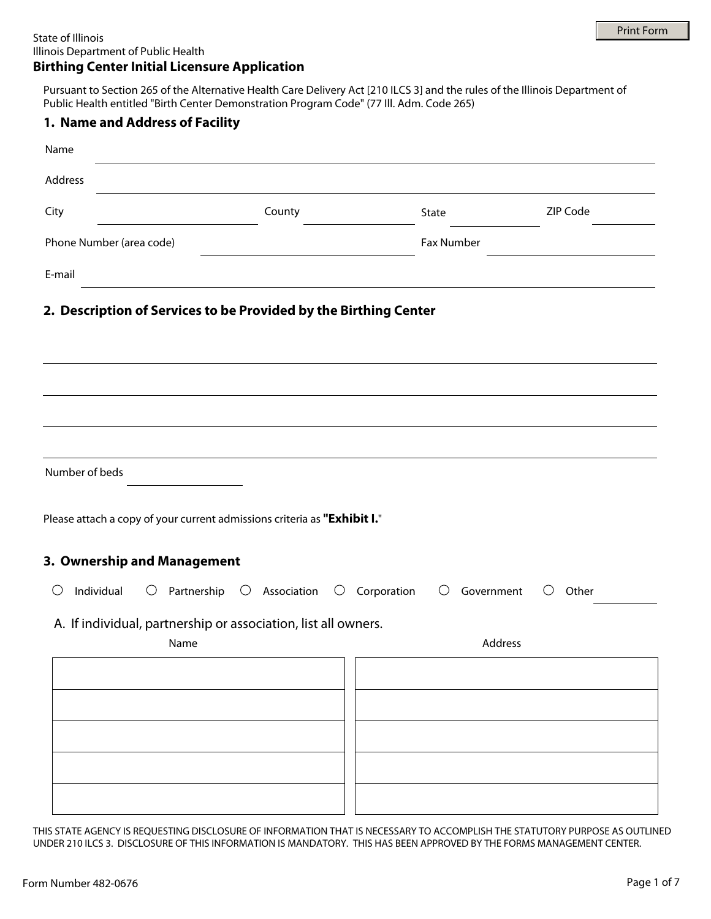Pursuant to Section 265 of the Alternative Health Care Delivery Act [210 ILCS 3] and the rules of the Illinois Department of Public Health entitled "Birth Center Demonstration Program Code" (77 Ill. Adm. Code 265)

| Name<br>Address<br>County<br>ZIP Code<br>City<br>State<br>Phone Number (area code)<br>Fax Number                                                             | 1. Name and Address of Facility |  |  |
|--------------------------------------------------------------------------------------------------------------------------------------------------------------|---------------------------------|--|--|
|                                                                                                                                                              |                                 |  |  |
|                                                                                                                                                              |                                 |  |  |
|                                                                                                                                                              |                                 |  |  |
| E-mail<br>2. Description of Services to be Provided by the Birthing Center                                                                                   |                                 |  |  |
|                                                                                                                                                              |                                 |  |  |
|                                                                                                                                                              |                                 |  |  |
| Number of beds                                                                                                                                               |                                 |  |  |
| Please attach a copy of your current admissions criteria as "Exhibit I."<br>3. Ownership and Management                                                      |                                 |  |  |
| $\bigcirc$<br>Individual<br>Partnership $\bigcirc$ Association<br>Corporation<br>$\bigcirc$<br>$\bigcirc$<br>Government<br>Other<br>$\bigcirc$<br>$\bigcirc$ |                                 |  |  |
| A. If individual, partnership or association, list all owners.<br>Address<br>Name                                                                            |                                 |  |  |
|                                                                                                                                                              |                                 |  |  |
|                                                                                                                                                              |                                 |  |  |
|                                                                                                                                                              |                                 |  |  |
|                                                                                                                                                              |                                 |  |  |
|                                                                                                                                                              |                                 |  |  |

THIS STATE AGENCY IS REQUESTING DISCLOSURE OF INFORMATION THAT IS NECESSARY TO ACCOMPLISH THE STATUTORY PURPOSE AS OUTLINED UNDER 210 ILCS 3. DISCLOSURE OF THIS INFORMATION IS MANDATORY. THIS HAS BEEN APPROVED BY THE FORMS MANAGEMENT CENTER.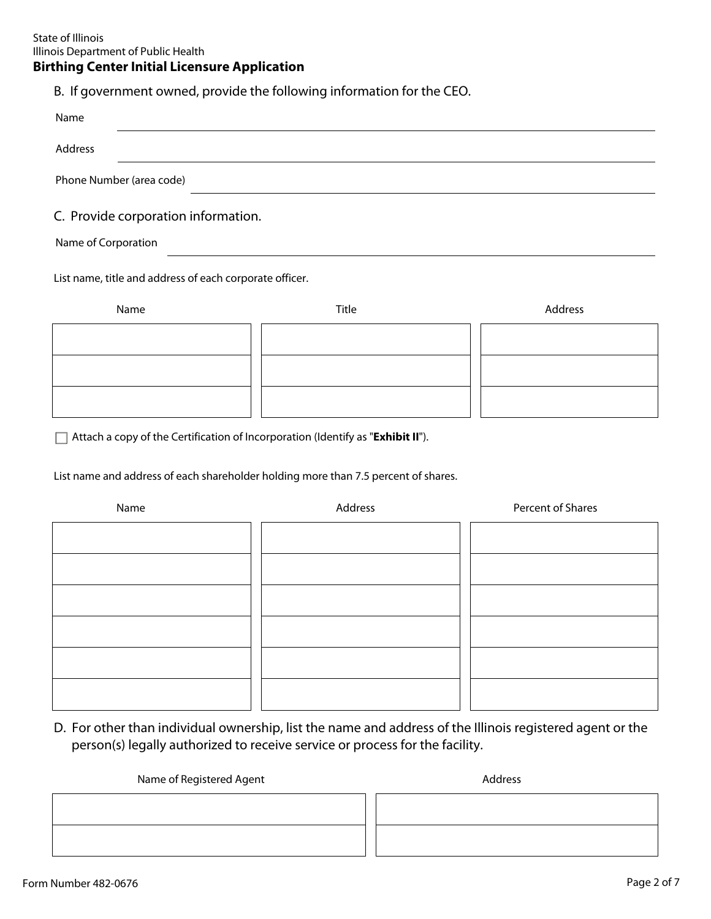B. If government owned, provide the following information for the CEO.

| Name                                                    |       |         |
|---------------------------------------------------------|-------|---------|
| Address                                                 |       |         |
| Phone Number (area code)                                |       |         |
| C. Provide corporation information.                     |       |         |
| Name of Corporation                                     |       |         |
| List name, title and address of each corporate officer. |       |         |
| Name                                                    | Title | Address |
|                                                         |       |         |
|                                                         |       |         |
|                                                         |       |         |

Attach a copy of the Certification of Incorporation (Identify as "**Exhibit II**").

List name and address of each shareholder holding more than 7.5 percent of shares.

| Name | Address | Percent of Shares |
|------|---------|-------------------|
|      |         |                   |
|      |         |                   |
|      |         |                   |
|      |         |                   |
|      |         |                   |
|      |         |                   |
|      |         |                   |

D. For other than individual ownership, list the name and address of the Illinois registered agent or the person(s) legally authorized to receive service or process for the facility.

#### Name of Registered Agent Address and Address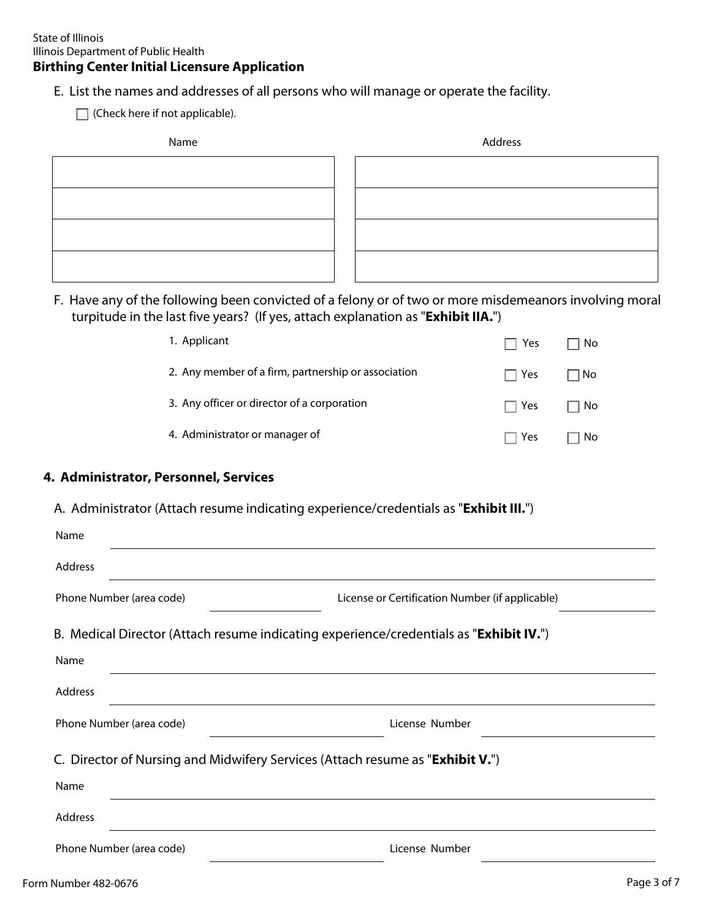E. List the names and addresses of all persons who will manage or operate the facility.

 $\Box$  (Check here if not applicable).

| Name | Address |
|------|---------|
|      |         |
|      |         |
|      |         |
|      |         |

F. Have any of the following been convicted of a felony or of two or more misdemeanors involving moral turpitude in the last five years? (If yes, attach explanation as "**Exhibit IIA.**")

| 1. Applicant                                        | $\Box$ Yes | ∃ No      |
|-----------------------------------------------------|------------|-----------|
| 2. Any member of a firm, partnership or association | $\Box$ Yes | $\Box$ No |
| 3. Any officer or director of a corporation         | $\Box$ Yes | $\Box$ No |
| 4. Administrator or manager of                      | . Yes      | No        |

# **4. Administrator, Personnel, Services**

## A. Administrator (Attach resume indicating experience/credentials as "**Exhibit III.**")

| Name                                                                                            |                                                 |
|-------------------------------------------------------------------------------------------------|-------------------------------------------------|
| Address                                                                                         |                                                 |
| Phone Number (area code)                                                                        | License or Certification Number (if applicable) |
| B. Medical Director (Attach resume indicating experience/credentials as " <b>Exhibit IV.</b> ") |                                                 |
| Name                                                                                            |                                                 |
| Address                                                                                         |                                                 |
| Phone Number (area code)                                                                        | License Number                                  |
| C. Director of Nursing and Midwifery Services (Attach resume as " <b>Exhibit V.</b> ")          |                                                 |
| Name                                                                                            |                                                 |
| Address                                                                                         |                                                 |
| Phone Number (area code)                                                                        | License Number                                  |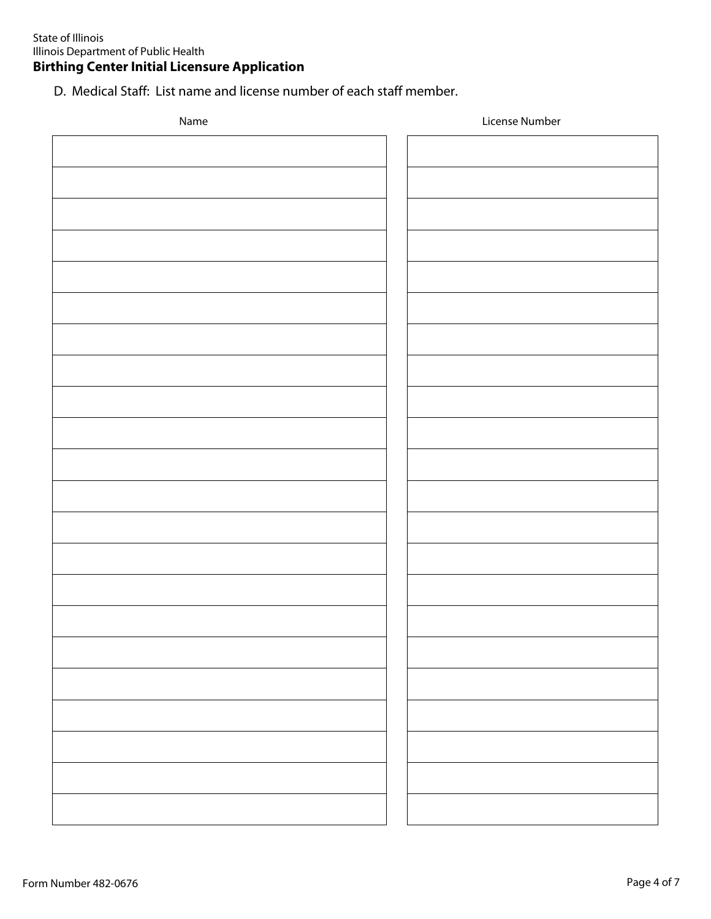D. Medical Staff: List name and license number of each staff member.

| Name | License Number |
|------|----------------|
|      |                |
|      |                |
|      |                |
|      |                |
|      |                |
|      |                |
|      |                |
|      |                |
|      |                |
|      |                |
|      |                |
|      |                |
|      |                |
|      |                |
|      |                |
|      |                |
|      |                |
|      |                |
|      |                |
|      |                |
|      |                |
|      |                |
|      |                |
|      |                |
|      |                |
|      |                |
|      |                |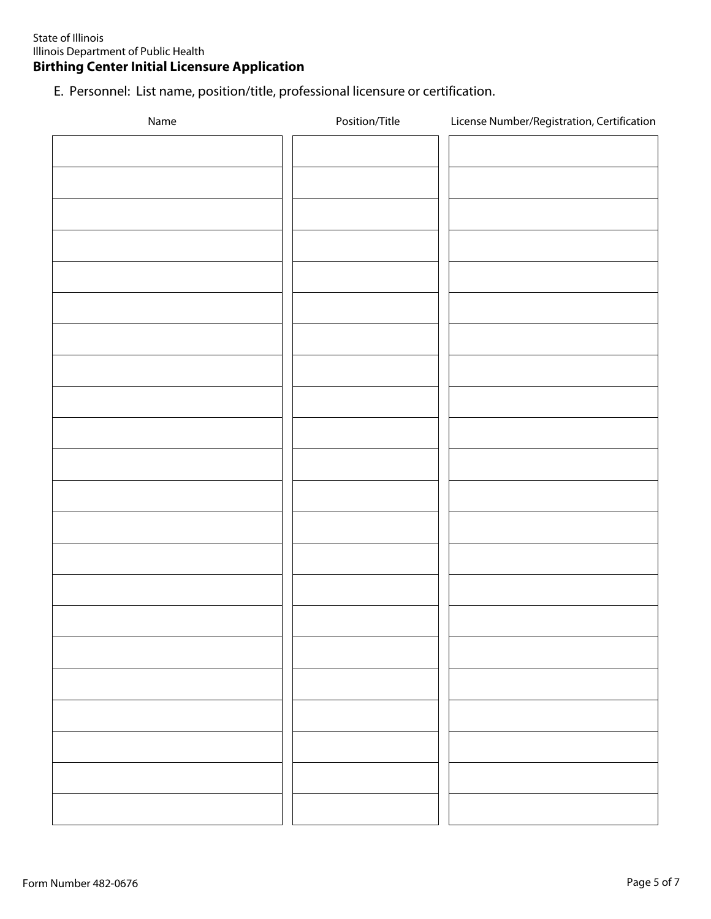E. Personnel: List name, position/title, professional licensure or certification.

| Name | Position/Title | License Number/Registration, Certification |
|------|----------------|--------------------------------------------|
|      |                |                                            |
|      |                |                                            |
|      |                |                                            |
|      |                |                                            |
|      |                |                                            |
|      |                |                                            |
|      |                |                                            |
|      |                |                                            |
|      |                |                                            |
|      |                |                                            |
|      |                |                                            |
|      |                |                                            |
|      |                |                                            |
|      |                |                                            |
|      |                |                                            |
|      |                |                                            |
|      |                |                                            |
|      |                |                                            |
|      |                |                                            |
|      |                |                                            |
|      |                |                                            |
|      |                |                                            |
|      |                |                                            |
|      |                |                                            |
|      |                |                                            |
|      |                |                                            |
|      |                |                                            |
|      |                |                                            |
|      |                |                                            |
|      |                |                                            |
|      |                |                                            |
|      |                |                                            |
|      |                |                                            |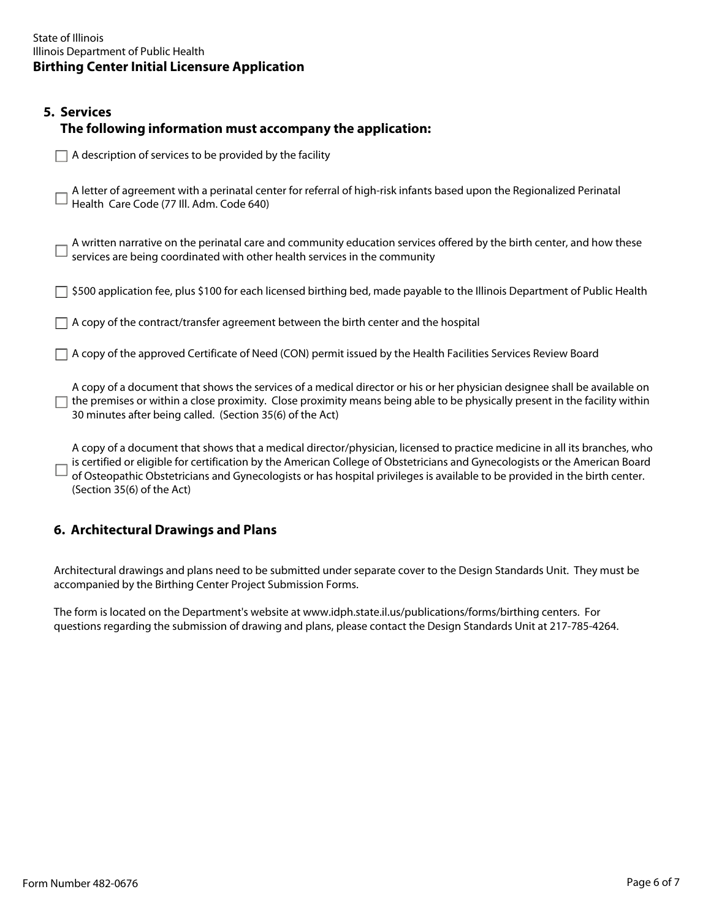# **5. Services The following information must accompany the application:**

 $\Box$  A description of services to be provided by the facility

A letter of agreement with a perinatal center for referral of high-risk infants based upon the Regionalized Perinatal Health Care Code (77 Ill. Adm. Code 640)

A written narrative on the perinatal care and community education services offered by the birth center, and how these services are being coordinated with other health services in the community

- $\Box$  \$500 application fee, plus \$100 for each licensed birthing bed, made payable to the Illinois Department of Public Health
- $\Box$  A copy of the contract/transfer agreement between the birth center and the hospital
- A copy of the approved Certificate of Need (CON) permit issued by the Health Facilities Services Review Board

A copy of a document that shows the services of a medical director or his or her physician designee shall be available on  $\Box$  the premises or within a close proximity. Close proximity means being able to be physically present in the facility within 30 minutes after being called. (Section 35(6) of the Act)

A copy of a document that shows that a medical director/physician, licensed to practice medicine in all its branches, who is certified or eligible for certification by the American College of Obstetricians and Gynecologists or the American Board of Osteopathic Obstetricians and Gynecologists or has hospital privileges is available to be provided in the birth center. (Section 35(6) of the Act)

# **6. Architectural Drawings and Plans**

Architectural drawings and plans need to be submitted under separate cover to the Design Standards Unit. They must be accompanied by the Birthing Center Project Submission Forms.

The form is located on the Department's website at www.idph.state.il.us/publications/forms/birthing centers. For questions regarding the submission of drawing and plans, please contact the Design Standards Unit at 217-785-4264.